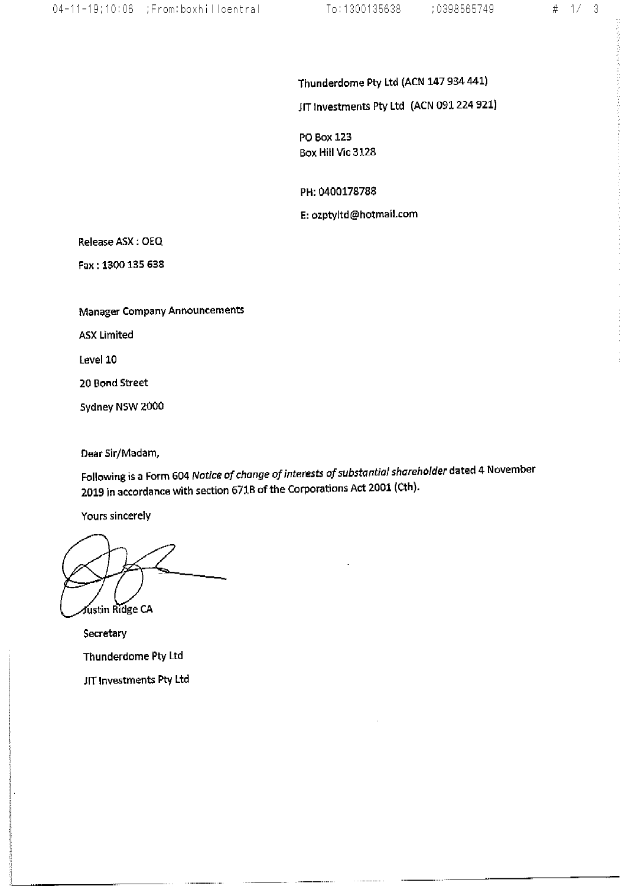$\label{eq:2.1} \frac{\partial}{\partial t} \frac{\partial}{\partial x} \frac{\partial}{\partial x} \frac{\partial}{\partial x} = \frac{\partial}{\partial x} \frac{\partial}{\partial x} \frac{\partial}{\partial x} \frac{\partial}{\partial x} + \frac{\partial}{\partial x} \frac{\partial}{\partial x} \frac{\partial}{\partial x} + \frac{\partial}{\partial x} \frac{\partial}{\partial x} \frac{\partial}{\partial x} + \frac{\partial}{\partial x} \frac{\partial}{\partial x} \frac{\partial}{\partial x} + \frac{\partial}{\partial x} \frac{\partial}{\partial x} \frac{\partial}{\partial x} + \frac{\partial}{\partial x} \frac{\partial}{\partial x} \frac{\partial}{\partial$ 

Thunderdome Pty Ltd (ACN 147 934 441)

JIT Investments Pty Ltd (ACN 091 224 921)

PO Box 123 Box Hill Vic 3128

PH: 0400178788

E: ozptyltd@hotmail.com

Release ASX: OEQ

Fax: 1300 135 638

**Manager Company Announcements** 

**ASX Limited** 

Level 10

20 Bond Street

Sydney NSW 2000

Dear Sir/Madam,

Following is a Form 604 Notice of change of interests of substantial shareholder dated 4 November 2019 in accordance with section 671B of the Corporations Act 2001 (Cth).

Yours sincerely

fustin Ridge CA

Secretary Thunderdome Pty Ltd JIT Investments Pty Ltd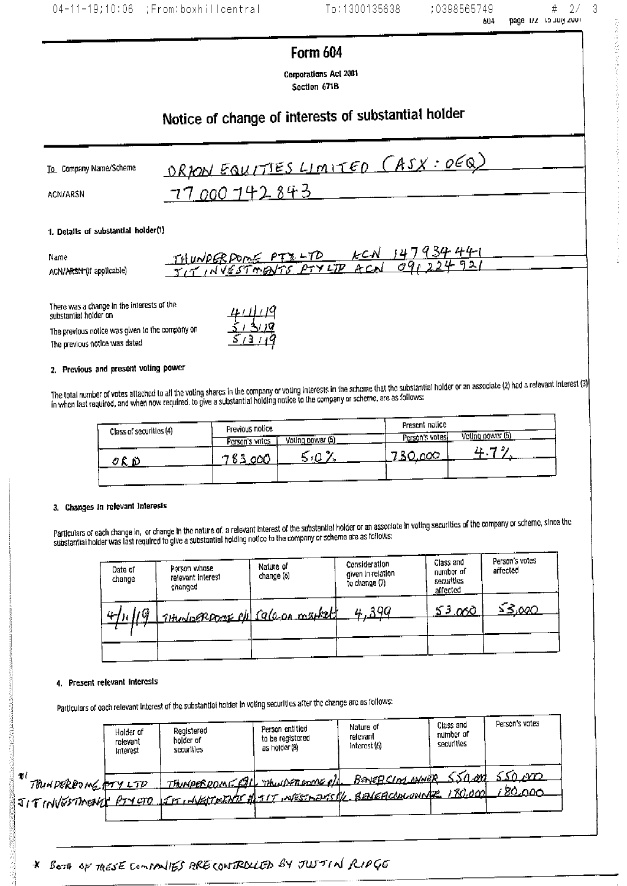# 04-11-19;10:06 ;From:boxhillcentral

To:1300135638

**The State State State State State State** 

 $\#$ 

# Form 604

Corporations Act 2001 Section 671B

# Notice of change of interests of substantial holder

| To Company Name/Scheme | <u> ORRON EQUITTES LIMITED (ASX: OEQ)</u> |
|------------------------|-------------------------------------------|
| <b>ACN/ARSN</b>        | - 77 000 <u>142 843-</u>                  |

#### 1. Details of substantial holder(1)

| Name                                  | <u> 147934441</u><br>I C N<br>THUNDERDOME PTZ-TD |
|---------------------------------------|--------------------------------------------------|
| ACN/A <del>RSN (</del> If applicable) | . 92,<br>JIT INVESTMENTS PTYLIP ACAL OUR         |

There was a change in the interests of the substantial holder on

The previous notice was given to the company on The previous notice was dated

#### 2. Previous and present voting power

The total number of votes attached to all the voting shares in the company or voting interests in the scheme that the substantial holder or an associate (2) had a relevant Interest (3)  $\left| \right\rangle$  in when last required, and

| Class of securities (4)          | Previous notice    |                  | Present notice |                  |
|----------------------------------|--------------------|------------------|----------------|------------------|
|                                  | <br>Person's votes | Voting power (5) | Person's votes | Voting power (5) |
| - 200<br>$V \subset \mathcal{D}$ | 763000             |                  | 730.000        |                  |
|                                  |                    |                  |                |                  |

#### 3. Changes in relevant interests

Particulars of each change in, or change in the nature of, a relevant interest of the substantial holder or an associate in voting securities of the company or scheme, since the substantial holder was last required to give a substantial holding notice to the company or scheme are as follows:

| Date of<br>change | Person whose<br>relevant interest<br>changed | Nature of<br>change (6) | Consideration<br>given in relation<br>to change (7) | Class and<br>number of<br>securities<br>affected | Person's votes<br>affected |
|-------------------|----------------------------------------------|-------------------------|-----------------------------------------------------|--------------------------------------------------|----------------------------|
|                   | THUSOPROODE PD Sala on market                |                         | 190<br>Ш.                                           | 53.000                                           | <u>S3,000</u>              |
|                   |                                              |                         |                                                     |                                                  |                            |

#### 4. Present relevant interests

Particulars of each relevant interest of the substantial holder in voting securities after the change are as follows:

|                           | Holder of<br>relevant<br>Interest | Registered<br>holder of<br>securities                                                                                                | Person entitied<br>to be registered<br>as holder (8) | Nature of<br>relevant<br>Interest (6) | Class and<br>number of<br>securities | Person's votes            |
|---------------------------|-----------------------------------|--------------------------------------------------------------------------------------------------------------------------------------|------------------------------------------------------|---------------------------------------|--------------------------------------|---------------------------|
| M.<br>THINDERDOME FOY LTD |                                   | THINDERROME FILL THUIDERPOOR of BENEDCIAL AWNER 550 and<br>JITINGSTMENT PTYCTO SETT WESTMENTS ALTITINESTMENTSKE BENEACONOMIC 180.000 |                                                      |                                       |                                      | <u>ssô vo</u><br>, 80.000 |

\* BOTH OF TRESE CONVENIES PRECONTROLLED BY JUSTIN RIPGE